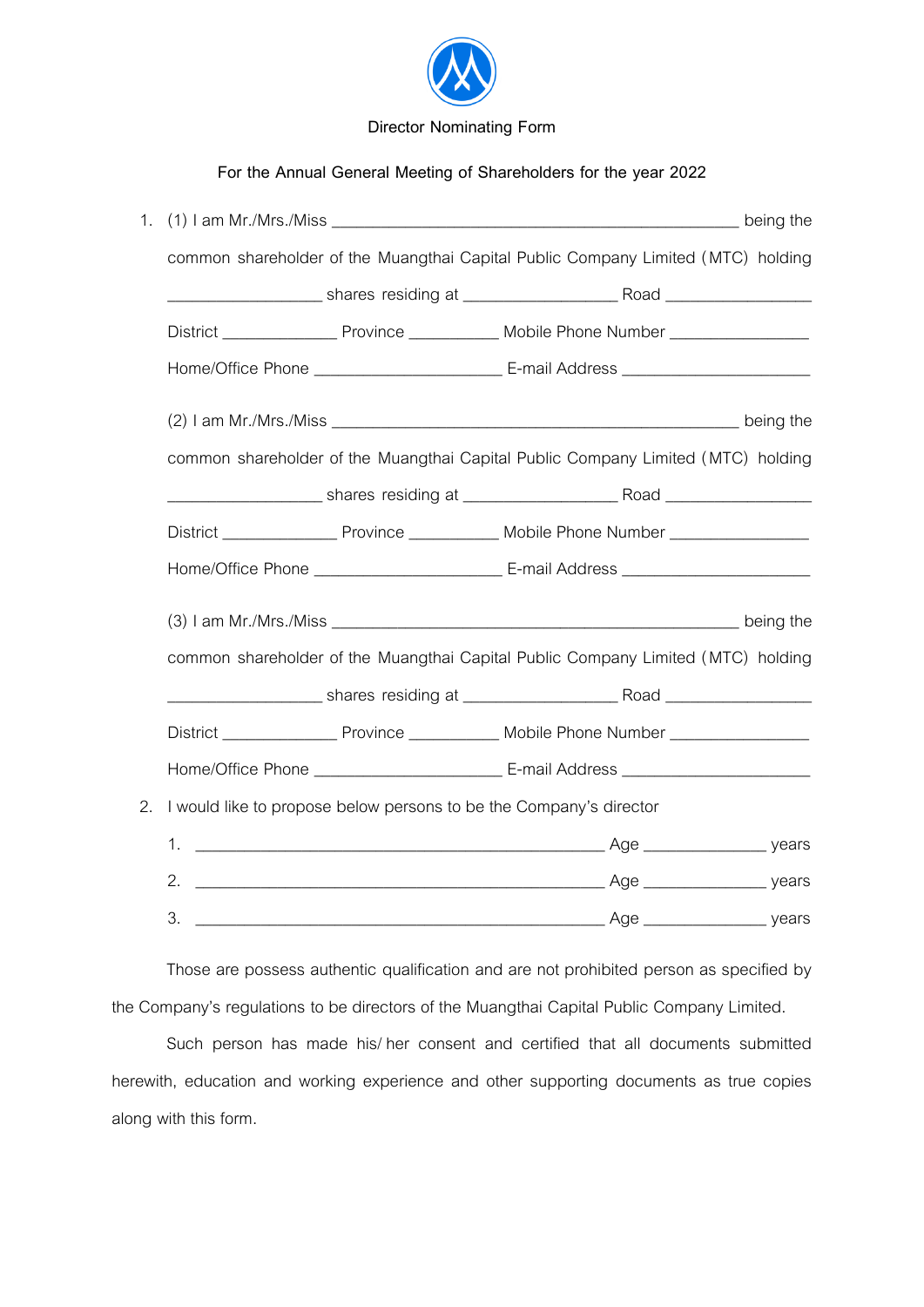

## **For the Annual General Meeting of Shareholders for the year 2022**

| 1. |                                                                                  |  |                                                                                                      |  |  |
|----|----------------------------------------------------------------------------------|--|------------------------------------------------------------------------------------------------------|--|--|
|    | common shareholder of the Muangthai Capital Public Company Limited (MTC) holding |  |                                                                                                      |  |  |
|    |                                                                                  |  |                                                                                                      |  |  |
|    |                                                                                  |  |                                                                                                      |  |  |
|    |                                                                                  |  | Home/Office Phone _________________________________ E-mail Address _________________________________ |  |  |
|    |                                                                                  |  |                                                                                                      |  |  |
|    |                                                                                  |  | common shareholder of the Muangthai Capital Public Company Limited (MTC) holding                     |  |  |
|    |                                                                                  |  |                                                                                                      |  |  |
|    |                                                                                  |  |                                                                                                      |  |  |
|    |                                                                                  |  |                                                                                                      |  |  |
|    |                                                                                  |  |                                                                                                      |  |  |
|    | common shareholder of the Muangthai Capital Public Company Limited (MTC) holding |  |                                                                                                      |  |  |
|    |                                                                                  |  |                                                                                                      |  |  |
|    |                                                                                  |  |                                                                                                      |  |  |
|    |                                                                                  |  |                                                                                                      |  |  |
| 2. | I would like to propose below persons to be the Company's director               |  |                                                                                                      |  |  |
|    |                                                                                  |  |                                                                                                      |  |  |
|    | 2.                                                                               |  |                                                                                                      |  |  |
|    | 3.                                                                               |  |                                                                                                      |  |  |

Those are possess authentic qualification and are not prohibited person as specified by the Company's regulations to be directors of the Muangthai Capital Public Company Limited.

Such person has made his/her consent and certified that all documents submitted herewith, education and working experience and other supporting documents as true copies along with this form.